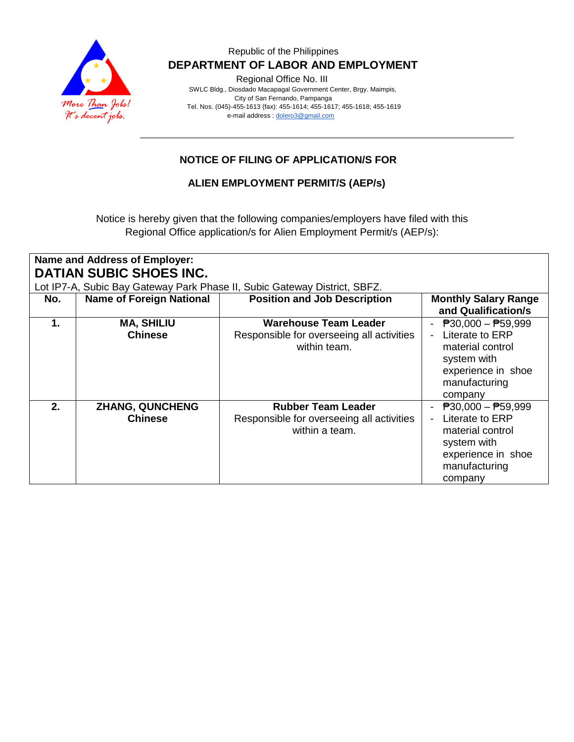

### Republic of the Philippines  **DEPARTMENT OF LABOR AND EMPLOYMENT**

Regional Office No. III

 SWLC Bldg., Diosdado Macapagal Government Center, Brgy. Maimpis, City of San Fernando, Pampanga Tel. Nos. (045)-455-1613 (fax): 455-1614; 455-1617; 455-1618; 455-1619 e-mail address [: dolero3@gmail.com](mailto:dolero3@gmail.com)

# **NOTICE OF FILING OF APPLICATION/S FOR**

**ALIEN EMPLOYMENT PERMIT/S (AEP/s)**

Notice is hereby given that the following companies/employers have filed with this Regional Office application/s for Alien Employment Permit/s (AEP/s):

| Name and Address of Employer:                                                                               |                                          |                                                                                           |                                                                                                                                                   |  |  |
|-------------------------------------------------------------------------------------------------------------|------------------------------------------|-------------------------------------------------------------------------------------------|---------------------------------------------------------------------------------------------------------------------------------------------------|--|--|
| <b>DATIAN SUBIC SHOES INC.</b><br>Lot IP7-A, Subic Bay Gateway Park Phase II, Subic Gateway District, SBFZ. |                                          |                                                                                           |                                                                                                                                                   |  |  |
| No.                                                                                                         | <b>Name of Foreign National</b>          | <b>Position and Job Description</b>                                                       | <b>Monthly Salary Range</b>                                                                                                                       |  |  |
|                                                                                                             |                                          |                                                                                           | and Qualification/s                                                                                                                               |  |  |
| 1.                                                                                                          | <b>MA, SHILIU</b><br><b>Chinese</b>      | <b>Warehouse Team Leader</b><br>Responsible for overseeing all activities<br>within team. | $\overline{P}30,000 - \overline{P}59,999$<br>Literate to ERP<br>material control<br>system with<br>experience in shoe<br>manufacturing<br>company |  |  |
| 2.                                                                                                          | <b>ZHANG, QUNCHENG</b><br><b>Chinese</b> | <b>Rubber Team Leader</b><br>Responsible for overseeing all activities<br>within a team.  | $\overline{P}30,000 - \overline{P}59,999$<br>Literate to ERP<br>material control<br>system with<br>experience in shoe<br>manufacturing<br>company |  |  |